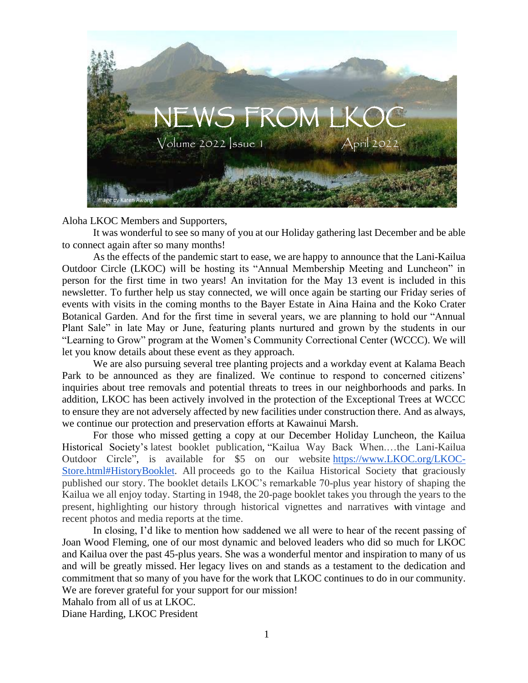

Aloha LKOC Members and Supporters,

It was wonderful to see so many of you at our Holiday gathering last December and be able to connect again after so many months!

As the effects of the pandemic start to ease, we are happy to announce that the Lani-Kailua Outdoor Circle (LKOC) will be hosting its "Annual Membership Meeting and Luncheon" in person for the first time in two years! An invitation for the May 13 event is included in this newsletter. To further help us stay connected, we will once again be starting our Friday series of events with visits in the coming months to the Bayer Estate in Aina Haina and the Koko Crater Botanical Garden. And for the first time in several years, we are planning to hold our "Annual Plant Sale" in late May or June, featuring plants nurtured and grown by the students in our "Learning to Grow" program at the Women's Community Correctional Center (WCCC). We will let you know details about these event as they approach.

We are also pursuing several tree planting projects and a workday event at Kalama Beach Park to be announced as they are finalized. We continue to respond to concerned citizens' inquiries about tree removals and potential threats to trees in our neighborhoods and parks. In addition, LKOC has been actively involved in the protection of the Exceptional Trees at WCCC to ensure they are not adversely affected by new facilities under construction there. And as always, we continue our protection and preservation efforts at Kawainui Marsh.

For those who missed getting a copy at our December Holiday Luncheon, the Kailua Historical Society's latest booklet publication, "Kailua Way Back When.…the Lani-Kailua Outdoor Circle", is available for \$5 on our website [https://www.LKOC.org/LKOC-](https://www.lkoc.org/LKOC-Store.html#HistoryBooklet)[Store.html#HistoryBooklet.](https://www.lkoc.org/LKOC-Store.html#HistoryBooklet) All proceeds go to the Kailua Historical Society that graciously published our story. The booklet details LKOC's remarkable 70-plus year history of shaping the Kailua we all enjoy today. Starting in 1948, the 20-page booklet takes you through the years to the present, highlighting our history through historical vignettes and narratives with vintage and recent photos and media reports at the time.

In closing, I'd like to mention how saddened we all were to hear of the recent passing of Joan Wood Fleming, one of our most dynamic and beloved leaders who did so much for LKOC and Kailua over the past 45-plus years. She was a wonderful mentor and inspiration to many of us and will be greatly missed. Her legacy lives on and stands as a testament to the dedication and commitment that so many of you have for the work that LKOC continues to do in our community. We are forever grateful for your support for our mission!

Mahalo from all of us at LKOC.

Diane Harding, LKOC President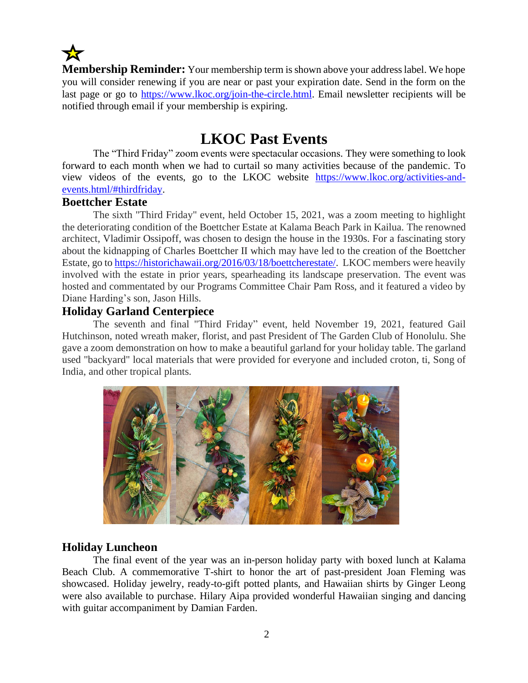

**Membership Reminder:** Your membership term is shown above your address label. We hope you will consider renewing if you are near or past your expiration date. Send in the form on the last page or go to [https://www.lkoc.org/join-the-circle.html.](https://www.lkoc.org/join-the-circle.html) Email newsletter recipients will be notified through email if your membership is expiring.

## **LKOC Past Events**

The "Third Friday" zoom events were spectacular occasions. They were something to look forward to each month when we had to curtail so many activities because of the pandemic. To view videos of the events, go to the LKOC website [https://www.lkoc.org/activities-and](https://www.lkoc.org/activities-and-events.html/#thirdfriday)[events.html/#thirdfriday.](https://www.lkoc.org/activities-and-events.html/#thirdfriday)

### **Boettcher Estate**

The sixth "Third Friday" event, held October 15, 2021, was a zoom meeting to highlight the deteriorating condition of the Boettcher Estate at Kalama Beach Park in Kailua. The renowned architect, Vladimir Ossipoff, was chosen to design the house in the 1930s. For a fascinating story about the kidnapping of Charles Boettcher II which may have led to the creation of the Boettcher Estate, go to [https://historichawaii.org/2016/03/18/boettcherestate/.](https://historichawaii.org/2016/03/18/boettcherestate/) LKOC members were heavily involved with the estate in prior years, spearheading its landscape preservation. The event was hosted and commentated by our Programs Committee Chair Pam Ross, and it featured a video by Diane Harding's son, Jason Hills.

### **Holiday Garland Centerpiece**

The seventh and final "Third Friday" event, held November 19, 2021, featured Gail Hutchinson, noted wreath maker, florist, and past President of The Garden Club of Honolulu. She gave a zoom demonstration on how to make a beautiful garland for your holiday table. The garland used "backyard" local materials that were provided for everyone and included croton, ti, Song of India, and other tropical plants.



### **Holiday Luncheon**

The final event of the year was an in-person holiday party with boxed lunch at Kalama Beach Club. A commemorative T-shirt to honor the art of past-president Joan Fleming was showcased. Holiday jewelry, ready-to-gift potted plants, and Hawaiian shirts by Ginger Leong were also available to purchase. Hilary Aipa provided wonderful Hawaiian singing and dancing with guitar accompaniment by Damian Farden.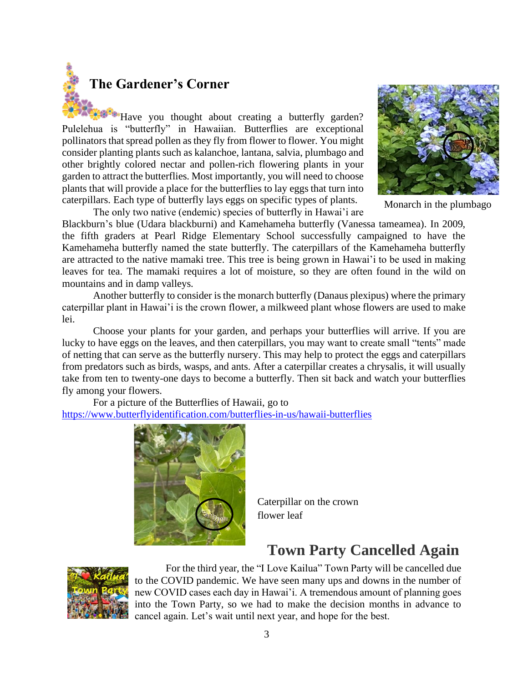

Have you thought about creating a butterfly garden? Pulelehua is "butterfly" in Hawaiian. Butterflies are exceptional pollinators that spread pollen as they fly from flower to flower. You might consider planting plants such as kalanchoe, lantana, salvia, plumbago and other brightly colored nectar and pollen-rich flowering plants in your garden to attract the butterflies. Most importantly, you will need to choose plants that will provide a place for the butterflies to lay eggs that turn into caterpillars. Each type of butterfly lays eggs on specific types of plants.





Monarch in the plumbago

Blackburn's blue (Udara blackburni) and Kamehameha butterfly (Vanessa tameamea). In 2009, the fifth graders at Pearl Ridge Elementary School successfully campaigned to have the Kamehameha butterfly named the state butterfly. The caterpillars of the Kamehameha butterfly are attracted to the native mamaki tree. This tree is being grown in Hawai'i to be used in making leaves for tea. The mamaki requires a lot of moisture, so they are often found in the wild on mountains and in damp valleys.

Another butterfly to consider is the monarch butterfly (Danaus plexipus) where the primary caterpillar plant in Hawai'i is the crown flower, a milkweed plant whose flowers are used to make lei.

Choose your plants for your garden, and perhaps your butterflies will arrive. If you are lucky to have eggs on the leaves, and then caterpillars, you may want to create small "tents" made of netting that can serve as the butterfly nursery. This may help to protect the eggs and caterpillars from predators such as birds, wasps, and ants. After a caterpillar creates a chrysalis, it will usually take from ten to twenty-one days to become a butterfly. Then sit back and watch your butterflies fly among your flowers.

For a picture of the Butterflies of Hawaii, go to <https://www.butterflyidentification.com/butterflies-in-us/hawaii-butterflies>



Caterpillar on the crown flower leaf

# **Town Party Cancelled Again**



For the third year, the "I Love Kailua" Town Party will be cancelled due to the COVID pandemic. We have seen many ups and downs in the number of new COVID cases each day in Hawai'i. A tremendous amount of planning goes into the Town Party, so we had to make the decision months in advance to cancel again. Let's wait until next year, and hope for the best.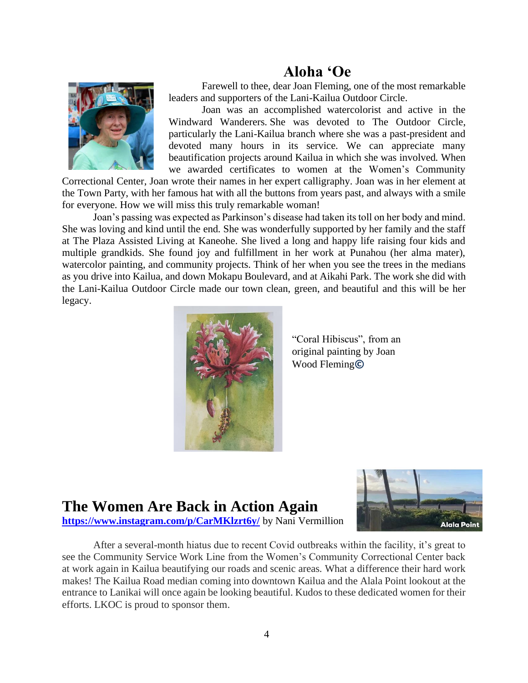## **Aloha 'Oe**



Farewell to thee, dear Joan Fleming, one of the most remarkable leaders and supporters of the Lani-Kailua Outdoor Circle.

Joan was an accomplished watercolorist and active in the Windward Wanderers. She was devoted to The Outdoor Circle, particularly the Lani-Kailua branch where she was a past-president and devoted many hours in its service. We can appreciate many beautification projects around Kailua in which she was involved. When we awarded certificates to women at the Women's Community

Correctional Center, Joan wrote their names in her expert calligraphy. Joan was in her element at the Town Party, with her famous hat with all the buttons from years past, and always with a smile for everyone. How we will miss this truly remarkable woman!

Joan's passing was expected as Parkinson's disease had taken its toll on her body and mind. She was loving and kind until the end. She was wonderfully supported by her family and the staff at The Plaza Assisted Living at Kaneohe. She lived a long and happy life raising four kids and multiple grandkids. She found joy and fulfillment in her work at Punahou (her alma mater), watercolor painting, and community projects. Think of her when you see the trees in the medians as you drive into Kailua, and down Mokapu Boulevard, and at Aikahi Park. The work she did with the Lani-Kailua Outdoor Circle made our town clean, green, and beautiful and this will be her legacy.



"Coral Hibiscus", from an original painting by Joan Wood Fleming**©**

# **The Women Are Back in Action Again**



**<https://www.instagram.com/p/CarMKlzrt6y/>** by Nani Vermillion

 After a several-month hiatus due to recent Covid outbreaks within the facility, it's great to see the Community Service Work Line from the Women's Community Correctional Center back at work again in Kailua beautifying our roads and scenic areas. What a difference their hard work makes! The Kailua Road median coming into downtown Kailua and the Alala Point lookout at the entrance to Lanikai will once again be looking beautiful. Kudos to these dedicated women for their efforts. LKOC is proud to sponsor them.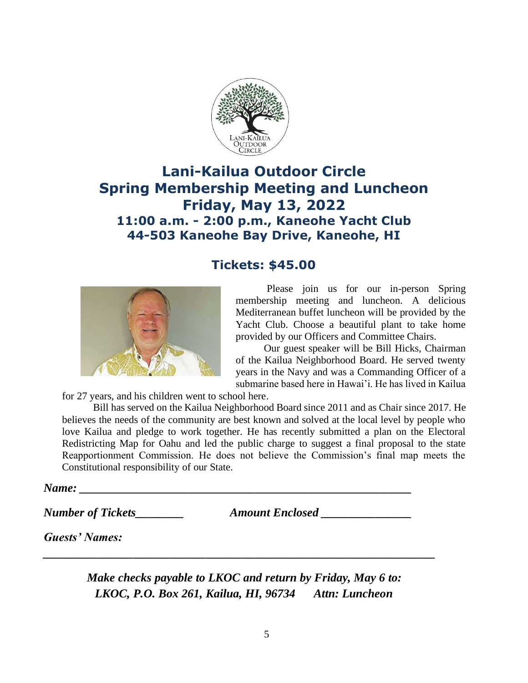

## **Lani-Kailua Outdoor Circle Spring Membership Meeting and Luncheon Friday, May 13, 2022 11:00 a.m. - 2:00 p.m., Kaneohe Yacht Club 44-503 Kaneohe Bay Drive, Kaneohe, HI**



### **Tickets: \$45.00**

Please join us for our in-person Spring membership meeting and luncheon. A delicious Mediterranean buffet luncheon will be provided by the Yacht Club. Choose a beautiful plant to take home provided by our Officers and Committee Chairs.

Our guest speaker will be Bill Hicks, Chairman of the Kailua Neighborhood Board. He served twenty years in the Navy and was a Commanding Officer of a submarine based here in Hawai'i. He has lived in Kailua

for 27 years, and his children went to school here.

Bill has served on the Kailua Neighborhood Board since 2011 and as Chair since 2017. He believes the needs of the community are best known and solved at the local level by people who love Kailua and pledge to work together. He has recently submitted a plan on the Electoral Redistricting Map for Oahu and led the public charge to suggest a final proposal to the state Reapportionment Commission. He does not believe the Commission's final map meets the Constitutional responsibility of our State.

*Name: \_\_\_\_\_\_\_\_\_\_\_\_\_\_\_\_\_\_\_\_\_\_\_\_\_\_\_\_\_\_\_\_\_\_\_\_\_\_\_\_\_\_\_\_\_\_\_\_\_\_\_\_\_\_\_*

*Number of Tickets\_\_\_\_\_\_\_\_ Amount Enclosed \_\_\_\_\_\_\_\_\_\_\_\_\_\_\_*

*Guests' Names:* 

*Make checks payable to LKOC and return by Friday, May 6 to: LKOC, P.O. Box 261, Kailua, HI, 96734 Attn: Luncheon*

*\_\_\_\_\_\_\_\_\_\_\_\_\_\_\_\_\_\_\_\_\_\_\_\_\_\_\_\_\_\_\_\_\_\_\_\_\_\_\_\_\_\_\_\_\_\_\_\_\_\_\_\_\_\_\_\_\_\_\_\_\_\_\_\_\_*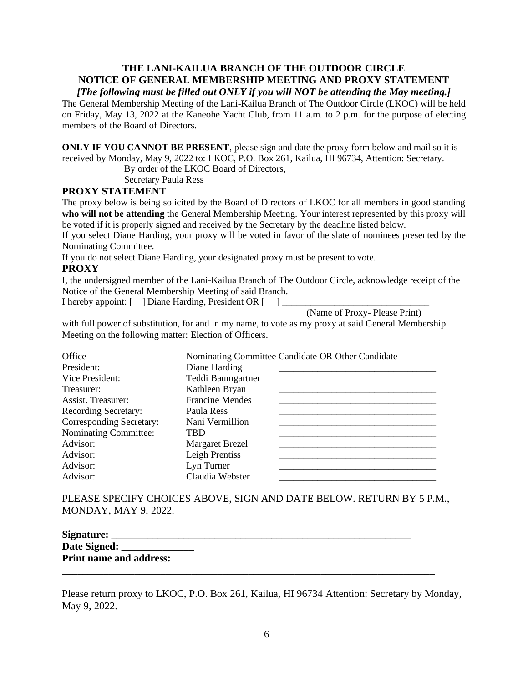### **THE LANI-KAILUA BRANCH OF THE OUTDOOR CIRCLE NOTICE OF GENERAL MEMBERSHIP MEETING AND PROXY STATEMENT**

#### *[The following must be filled out ONLY if you will NOT be attending the May meeting.]*

The General Membership Meeting of the Lani-Kailua Branch of The Outdoor Circle (LKOC) will be held on Friday, May 13, 2022 at the Kaneohe Yacht Club, from 11 a.m. to 2 p.m. for the purpose of electing members of the Board of Directors.

**ONLY IF YOU CANNOT BE PRESENT**, please sign and date the proxy form below and mail so it is received by Monday, May 9, 2022 to: LKOC, P.O. Box 261, Kailua, HI 96734, Attention: Secretary.

By order of the LKOC Board of Directors,

Secretary Paula Ress

#### **PROXY STATEMENT**

The proxy below is being solicited by the Board of Directors of LKOC for all members in good standing **who will not be attending** the General Membership Meeting. Your interest represented by this proxy will be voted if it is properly signed and received by the Secretary by the deadline listed below.

If you select Diane Harding, your proxy will be voted in favor of the slate of nominees presented by the Nominating Committee.

If you do not select Diane Harding, your designated proxy must be present to vote.

#### **PROXY**

I, the undersigned member of the Lani-Kailua Branch of The Outdoor Circle, acknowledge receipt of the Notice of the General Membership Meeting of said Branch.

I hereby appoint: [ ] Diane Harding, President OR [ ]

(Name of Proxy- Please Print)

with full power of substitution, for and in my name, to vote as my proxy at said General Membership Meeting on the following matter: Election of Officers.

| Office                   | Nominating Committee Candidate OR Other Candidate |
|--------------------------|---------------------------------------------------|
| President:               | Diane Harding                                     |
| Vice President:          | Teddi Baumgartner                                 |
| Treasurer:               | Kathleen Bryan                                    |
| Assist. Treasurer:       | <b>Francine Mendes</b>                            |
| Recording Secretary:     | Paula Ress                                        |
| Corresponding Secretary: | Nani Vermillion                                   |
| Nominating Committee:    | TBD                                               |
| Advisor:                 | <b>Margaret Brezel</b>                            |
| Advisor:                 | Leigh Prentiss                                    |
| Advisor:                 | Lyn Turner                                        |
| Advisor:                 | Claudia Webster                                   |

PLEASE SPECIFY CHOICES ABOVE, SIGN AND DATE BELOW. RETURN BY 5 P.M., MONDAY, MAY 9, 2022.

| Signature:                     |  |  |
|--------------------------------|--|--|
| Date Signed:                   |  |  |
| <b>Print name and address:</b> |  |  |
|                                |  |  |

Please return proxy to LKOC, P.O. Box 261, Kailua, HI 96734 Attention: Secretary by Monday, May 9, 2022.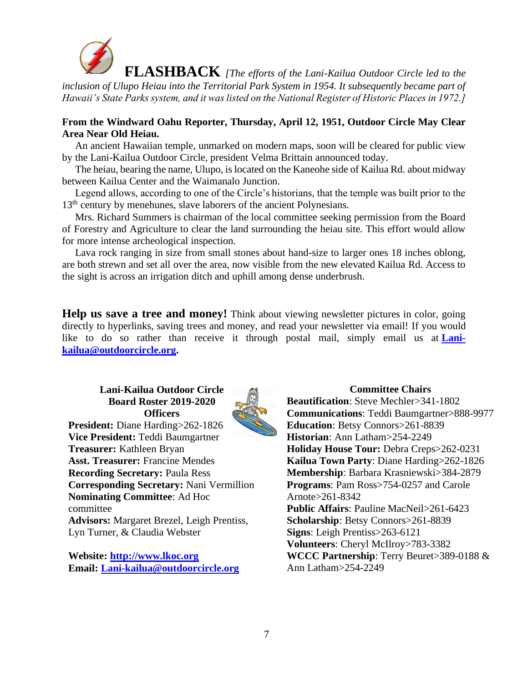

 **FLASHBACK** *[The efforts of the Lani-Kailua Outdoor Circle led to the inclusion of Ulupo Heiau into the Territorial Park System in 1954. It subsequently became part of Hawaii's State Parks system, and it was listed on the National Register of Historic Places in 1972.]*

### **From the Windward Oahu Reporter, Thursday, April 12, 1951, Outdoor Circle May Clear Area Near Old Heiau.**

 An ancient Hawaiian temple, unmarked on modern maps, soon will be cleared for public view by the Lani-Kailua Outdoor Circle, president Velma Brittain announced today.

 The heiau, bearing the name, Ulupo, is located on the Kaneohe side of Kailua Rd. about midway between Kailua Center and the Waimanalo Junction.

 Legend allows, according to one of the Circle's historians, that the temple was built prior to the 13<sup>th</sup> century by menehunes, slave laborers of the ancient Polynesians.

 Mrs. Richard Summers is chairman of the local committee seeking permission from the Board of Forestry and Agriculture to clear the land surrounding the heiau site. This effort would allow for more intense archeological inspection.

 Lava rock ranging in size from small stones about hand-size to larger ones 18 inches oblong, are both strewn and set all over the area, now visible from the new elevated Kailua Rd. Access to the sight is across an irrigation ditch and uphill among dense underbrush.

**Help us save a tree and money!** Think about viewing newsletter pictures in color, going directly to hyperlinks, saving trees and money, and read your newsletter via email! If you would like to do so rather than receive it through postal mail, simply email us at **[Lani](mailto:Lani-kailua@outdoorcircle.org)[kailua@outdoorcircle.org.](mailto:Lani-kailua@outdoorcircle.org)**

**Lani-Kailua Outdoor Circle Board Roster 2019-2020 Officers**



**President:** Diane Harding>262-1826 **Vice President:** Teddi Baumgartner **Treasurer:** Kathleen Bryan **Asst. Treasurer:** Francine Mendes **Recording Secretary:** Paula Ress **Corresponding Secretary:** Nani Vermillion **Nominating Committee**: Ad Hoc committee **Advisors:** Margaret Brezel, Leigh Prentiss, Lyn Turner, & Claudia Webster

**Website: [http://www.lkoc.org](http://www.lkoc.org/) Email: [Lani-kailua@outdoorcircle.org](mailto:Lani-kailua@outdoorcircle.org)**

**Committee Chairs Beautification**: Steve Mechler>341-1802 **Communications**: Teddi Baumgartner>888-9977 **Education**: Betsy Connors>261-8839 **Historian**: Ann Latham>254-2249 **Holiday House Tour:** Debra Creps>262-0231 **Kailua Town Party**: Diane Harding>262-1826 **Membership**: Barbara Krasniewski>384-2879 **Programs**: Pam Ross>754-0257 and Carole Arnote>261-8342 **Public Affairs**: Pauline MacNeil>261-6423 **Scholarship**: Betsy Connors>261-8839 **Signs**: Leigh Prentiss>263-6121 **Volunteers**: Cheryl McIlroy>783-3382 **WCCC Partnership**: Terry Beuret>389-0188 & Ann Latham>254-2249